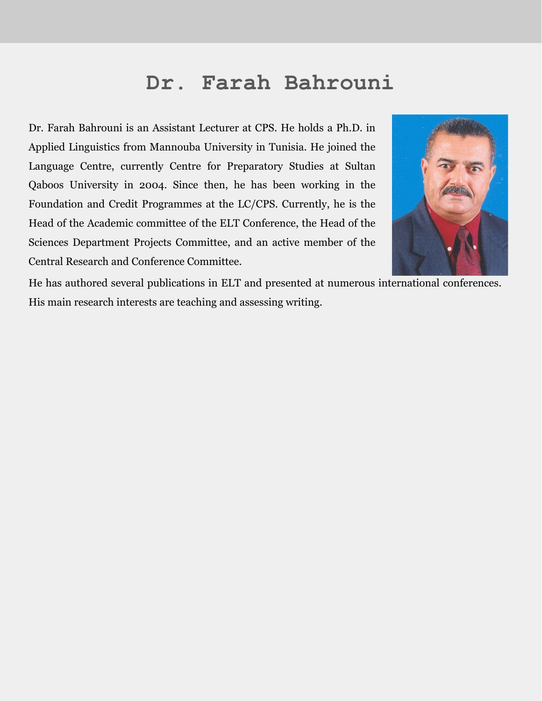## **Dr. Farah Bahrouni**

Dr. Farah Bahrouni is an Assistant Lecturer at CPS. He holds a Ph.D. in Applied Linguistics from Mannouba University in Tunisia. He joined the Language Centre, currently Centre for Preparatory Studies at Sultan Qaboos University in 2004. Since then, he has been working in the Foundation and Credit Programmes at the LC/CPS. Currently, he is the Head of the Academic committee of the ELT Conference, the Head of the Sciences Department Projects Committee, and an active member of the Central Research and Conference Committee.



He has authored several publications in ELT and presented at numerous international conferences. His main research interests are teaching and assessing writing.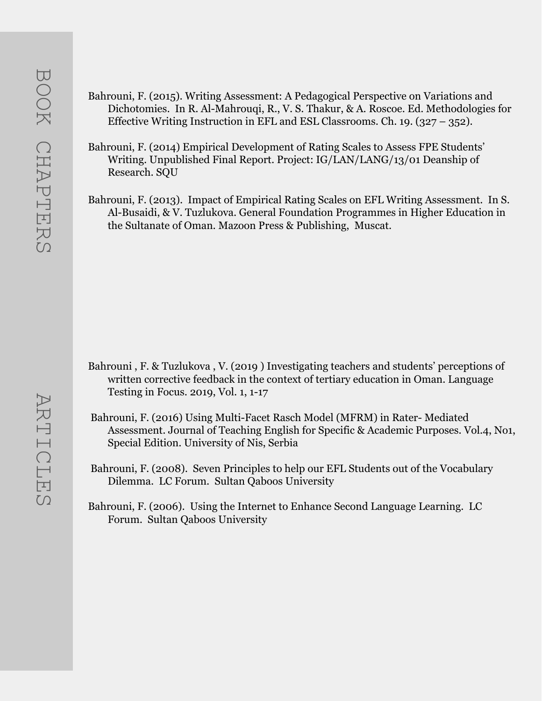- Bahrouni, F. (2015). Writing Assessment: A Pedagogical Perspective on Variations and Dichotomies. In R. Al-Mahrouqi, R., V. S. Thakur, & A. Roscoe. Ed. Methodologies for Effective Writing Instruction in EFL and ESL Classrooms. Ch. 19. (327 – 352).
- Bahrouni, F. (2014) Empirical Development of Rating Scales to Assess FPE Students' Writing. Unpublished Final Report. Project: IG/LAN/LANG/13/01 Deanship of Research. SQU
- Bahrouni, F. (2013). Impact of Empirical Rating Scales on EFL Writing Assessment. In S. Al-Busaidi, & V. Tuzlukova. General Foundation Programmes in Higher Education in the Sultanate of Oman. Mazoon Press & Publishing, Muscat.

- Bahrouni , F. & Tuzlukova , V. (2019 ) Investigating teachers and students' perceptions of written corrective feedback in the context of tertiary education in Oman. Language Testing in Focus. 2019, Vol. 1, 1-17
- Bahrouni, F. (2016) Using Multi-Facet Rasch Model (MFRM) in Rater- Mediated Assessment. Journal of Teaching English for Specific & Academic Purposes. Vol.4, No1, Special Edition. University of Nis, Serbia
- Bahrouni, F. (2008). Seven Principles to help our EFL Students out of the Vocabulary Dilemma. LC Forum. Sultan Qaboos University
- Bahrouni, F. (2006). Using the Internet to Enhance Second Language Learning. LC Forum. Sultan Qaboos University